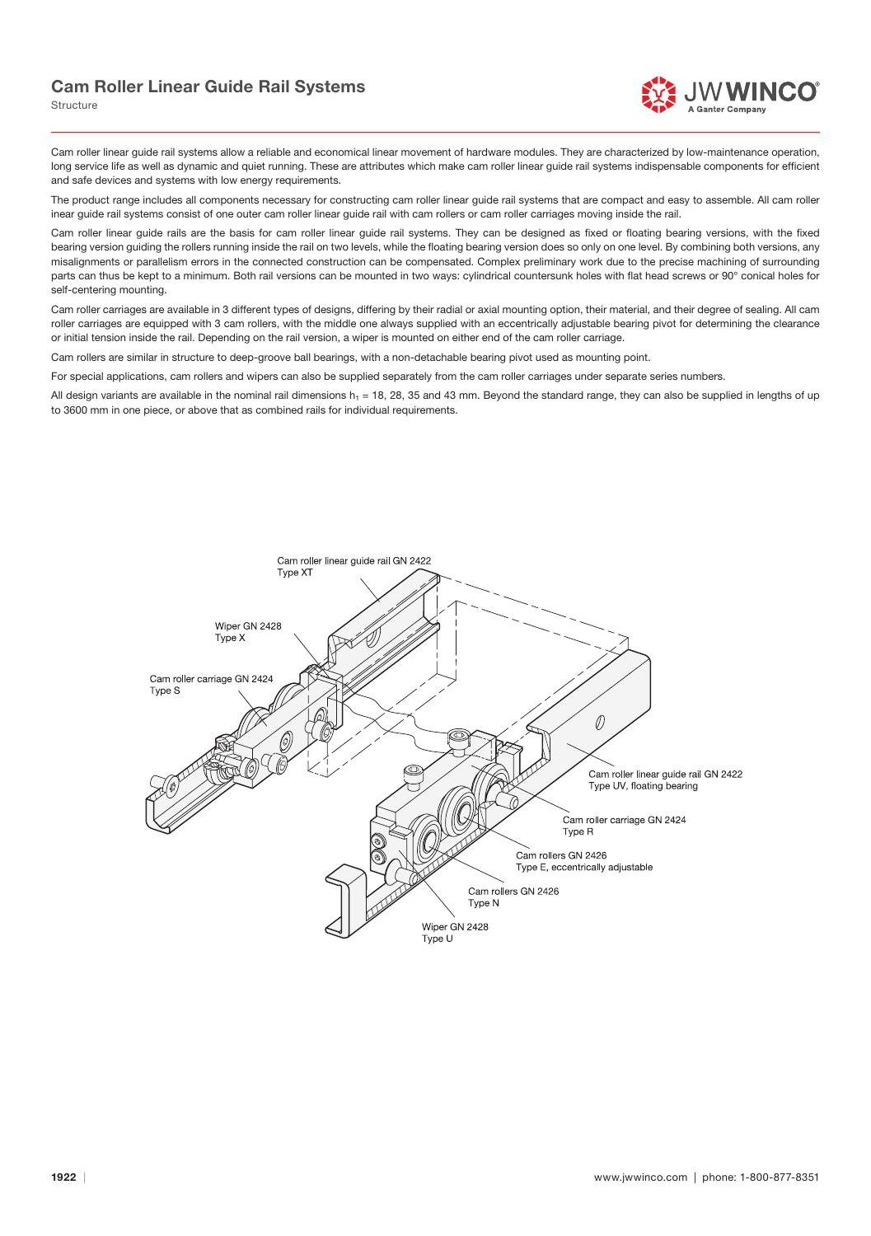## Cam Roller Linear Guide Rail Systems

Structure

Cam roller linear guide rail systems allow a reliable and economical linear movement of hardware modules. They are characterized by low-maintenance operation, long service life as well as dynamic and quiet running. These are attributes which make cam roller linear guide rail systems indispensable components for efficient and safe devices and systems with low energy requirements.

The product range includes all components necessary for constructing cam roller linear guide rail systems that are compact and easy to assemble. All cam roller inear guide rail systems consist of one outer cam roller linear guide rail with cam rollers or cam roller carriages moving inside the rail.

Cam roller linear guide rails are the basis for cam roller linear guide rail systems. They can be designed as fixed or floating bearing versions, with the fixed bearing version guiding the rollers running inside the rail on two levels, while the floating bearing version does so only on one level. By combining both versions, any misalignments or parallelism errors in the connected construction can be compensated. Complex preliminary work due to the precise machining of surrounding parts can thus be kept to a minimum. Both rail versions can be mounted in two ways: cylindrical countersunk holes with flat head screws or 90° conical holes for self-centering mounting.

Cam roller carriages are available in 3 different types of designs, differing by their radial or axial mounting option, their material, and their degree of sealing. All cam roller carriages are equipped with 3 cam rollers, with the middle one always supplied with an eccentrically adjustable bearing pivot for determining the clearance or initial tension inside the rail. Depending on the rail version, a wiper is mounted on either end of the cam roller carriage.

Cam rollers are similar in structure to deep-groove ball bearings, with a non-detachable bearing pivot used as mounting point.

For special applications, cam rollers and wipers can also be supplied separately from the cam roller carriages under separate series numbers.

All design variants are available in the nominal rail dimensions  $h_1 = 18$ , 28, 35 and 43 mm. Beyond the standard range, they can also be supplied in lengths of up to 3600 mm in one piece, or above that as combined rails for individual requirements.

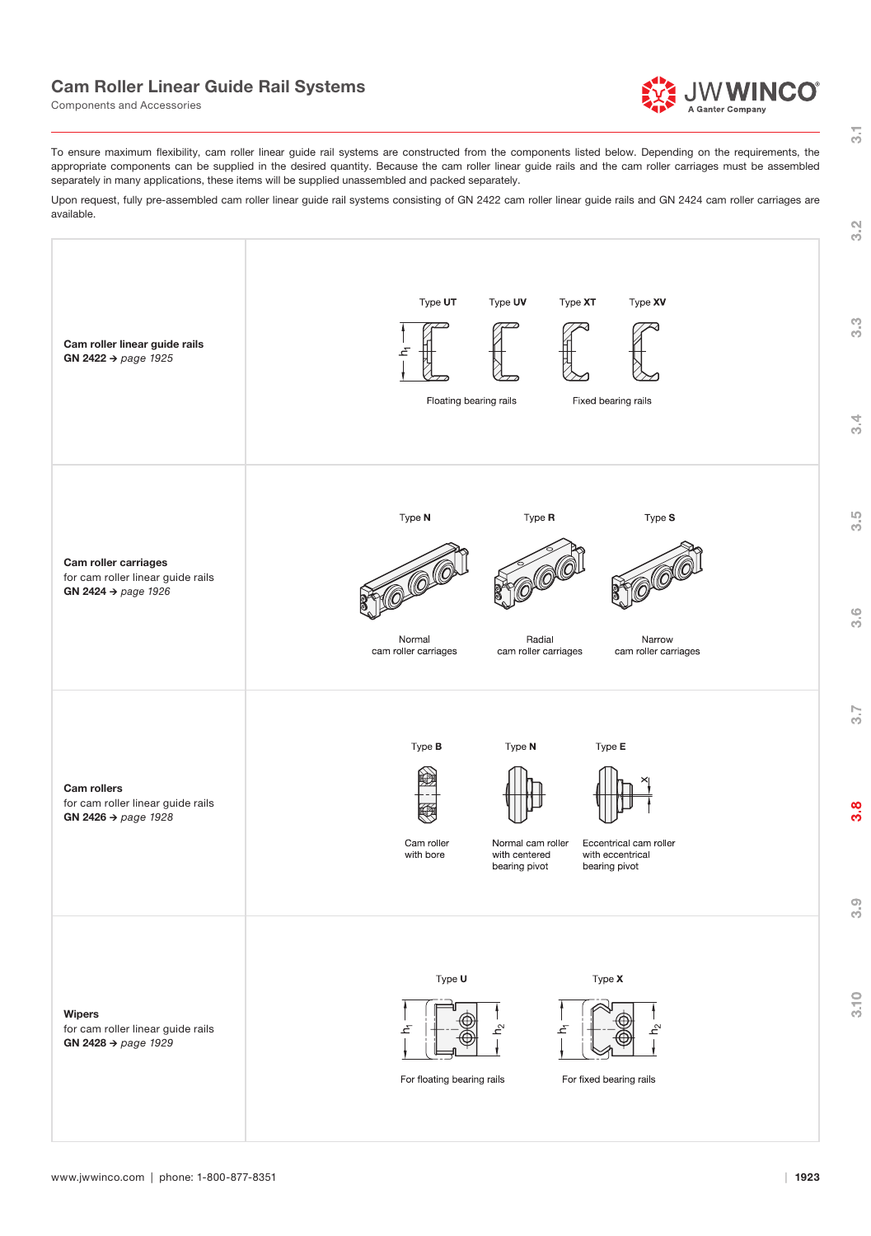## Cam Roller Linear Guide Rail Systems





 $\overline{31}$ 

To ensure maximum flexibility, cam roller linear guide rail systems are constructed from the components listed below. Depending on the requirements, the appropriate components can be supplied in the desired quantity. Because the cam roller linear guide rails and the cam roller carriages must be assembled separately in many applications, these items will be supplied unassembled and packed separately.

Upon request, fully pre-assembled cam roller linear guide rail systems consisting of GN 2422 cam roller linear guide rails and GN 2424 cam roller carriages are available.